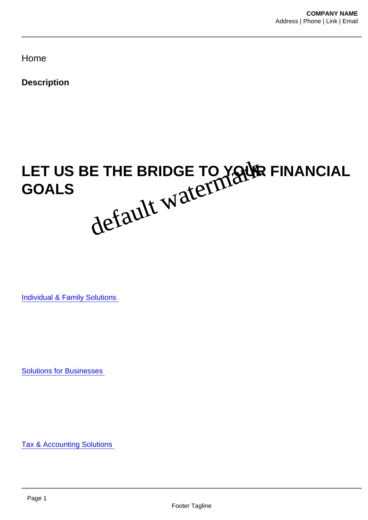Home

**Description** 

## LET US BE THE BRIDGE TO YOUR FINANCIAL GOALS  $\mathcal{A}\mathcal{D}$ SC. We have been working with our friends and neighbors throughout the Central default waterfaark

Individual & Family Solutions

Solutions for Businesses

Tax & Accounting Solutions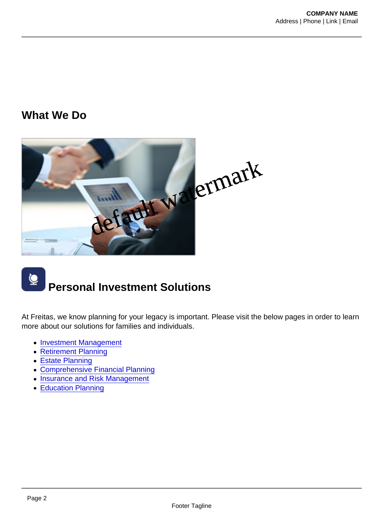## What We Do



## Personal Investment Solutions

At Freitas, we know planning for your legacy is important. Please visit the below pages in order to learn more about our solutions for families and individuals.

- [Investment Management](https://freitaswmg.com/services/investment-managment/)
- [Retirement Planning](https://freitaswmg.com/services/individuals-and-families/retirement-planning/)
- [Estate Planning](https://freitaswmg.com/services/investment-managment/estate-planning/)
- [Comprehensive Financial Planning](https://freitaswmg.com/services/individuals-and-families/comprehensive-financial-planning/)
- [Insurance and Risk Management](https://freitaswmg.com/services/individuals-and-families/insurance-and-risk-management/)
- [Education Planning](https://freitaswmg.com/services/individuals-and-families/education-planning/)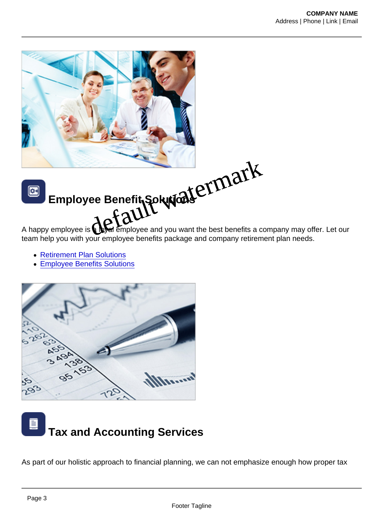Employee Benefit Solutions Employee Benefit Solution at CIMark<br>A happy employee is **Charlemployee** and you want the best benefits a company may offer. Let our

team help you with your employee benefits package and company retirement plan needs.

- [Retirement Plan Solutions](https://freitaswmg.com/services/solutions-for-companies/retirement-plan-solutions/)
- [Employee Benefits Solutions](https://freitaswmg.com/services/solutions-for-companies/group-benefits/)

## Tax and Accounting Services

As part of our holistic approach to financial planning, we can not emphasize enough how proper tax